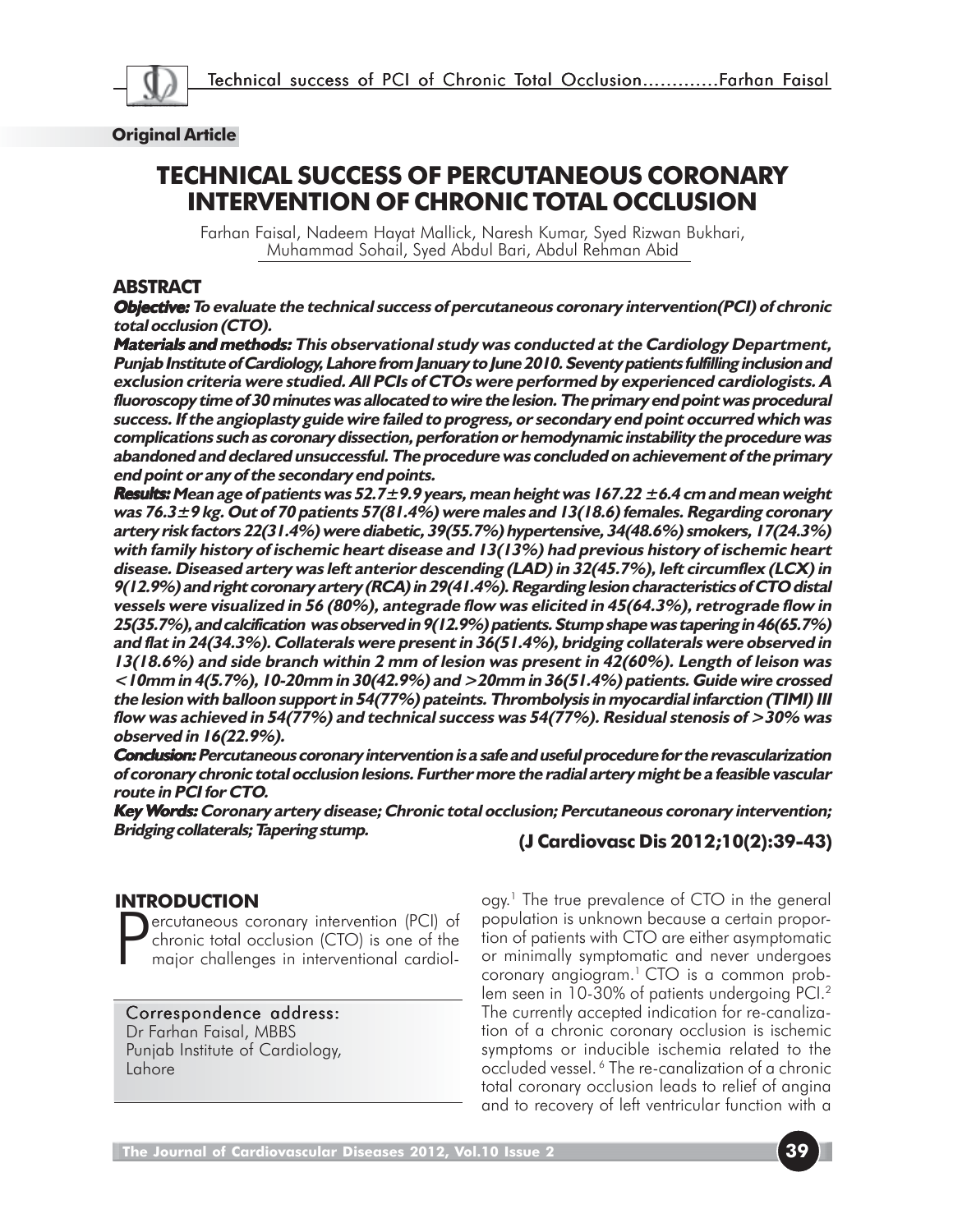

## **Original Article**

# **TECHNICAL SUCCESS OF PERCUTANEOUS CORONARY INTERVENTION OF CHRONIC TOTAL OCCLUSION**

Farhan Faisal, Nadeem Hayat Mallick, Naresh Kumar, Syed Rizwan Bukhari, Muhammad Sohail, Syed Abdul Bari, Abdul Rehman Abid

## **ABSTRACT**

**Objective: Objective: To evaluate the technical success of percutaneous coronary intervention(PCI) of chronic total occlusion (CTO).**

**Materials and methods:** This observational study was conducted at the Cardiology Department, **Punjab Institute of Cardiology, Lahore from January to June 2010. Seventy patients fulfilling inclusion and exclusion criteria were studied. All PCIs of CTOs were performed by experienced cardiologists. A fluoroscopy time of 30 minutes was allocated to wire the lesion. The primary end point was procedural success. If the angioplasty guide wire failed to progress, or secondary end point occurred which was complications such as coronary dissection, perforation or hemodynamic instability the procedure was abandoned and declared unsuccessful. The procedure was concluded on achievement of the primary end point or any of the secondary end points.**

**Results: Results: Mean age of patients was 52.7±9.9 years, mean height was 167.22 ±6.4 cm and mean weight was 76.3±9 kg. Out of 70 patients 57(81.4%) were males and 13(18.6) females. Regarding coronary artery risk factors 22(31.4%) were diabetic, 39(55.7%) hypertensive, 34(48.6%) smokers, 17(24.3%) with family history of ischemic heart disease and 13(13%) had previous history of ischemic heart disease. Diseased artery was left anterior descending (LAD) in 32(45.7%), left circumflex (LCX) in 9(12.9%) and right coronary artery (RCA) in 29(41.4%). Regarding lesion characteristics of CTO distal vessels were visualized in 56 (80%), antegrade flow was elicited in 45(64.3%), retrograde flow in 25(35.7%), and calcification was observed in 9(12.9%) patients. Stump shape was tapering in 46(65.7%) and flat in 24(34.3%). Collaterals were present in 36(51.4%), bridging collaterals were observed in 13(18.6%) and side branch within 2 mm of lesion was present in 42(60%). Length of leison was <10mm in 4(5.7%), 10-20mm in 30(42.9%) and >20mm in 36(51.4%) patients. Guide wire crossed the lesion with balloon support in 54(77%) pateints. Thrombolysis in myocardial infarction (TIMI) III flow was achieved in 54(77%) and technical success was 54(77%). Residual stenosis of >30% was observed in 16(22.9%).**

**Conclusion: Conclusion: Percutaneous coronary intervention is a safe and useful procedure for the revascularization of coronary chronic total occlusion lesions. Further more the radial artery might be a feasible vascular route in PCI for CTO.**

**Key Words: Coronary artery disease; Chronic total occlusion; Percutaneous coronary intervention; ords: Bridging collaterals; Tapering stump.**

# **(J Cardiovasc Dis 2012;10(2):39-43)**

# **INTRODUCTION**

P ercutaneous coronary intervention (PCI) of chronic total occlusion (CTO) is one of the major challenges in interventional cardiol-

Correspondence address: Dr Farhan Faisal, MBBS Punjab Institute of Cardiology, Lahore

ogy.<sup>1</sup> The true prevalence of CTO in the general population is unknown because a certain proportion of patients with CTO are either asymptomatic or minimally symptomatic and never undergoes coronary angiogram.<sup>1</sup> CTO is a common problem seen in 10-30% of patients undergoing PCI.<sup>2</sup> The currently accepted indication for re-canalization of a chronic coronary occlusion is ischemic symptoms or inducible ischemia related to the occluded vessel. 6 The re-canalization of a chronic total coronary occlusion leads to relief of angina and to recovery of left ventricular function with a

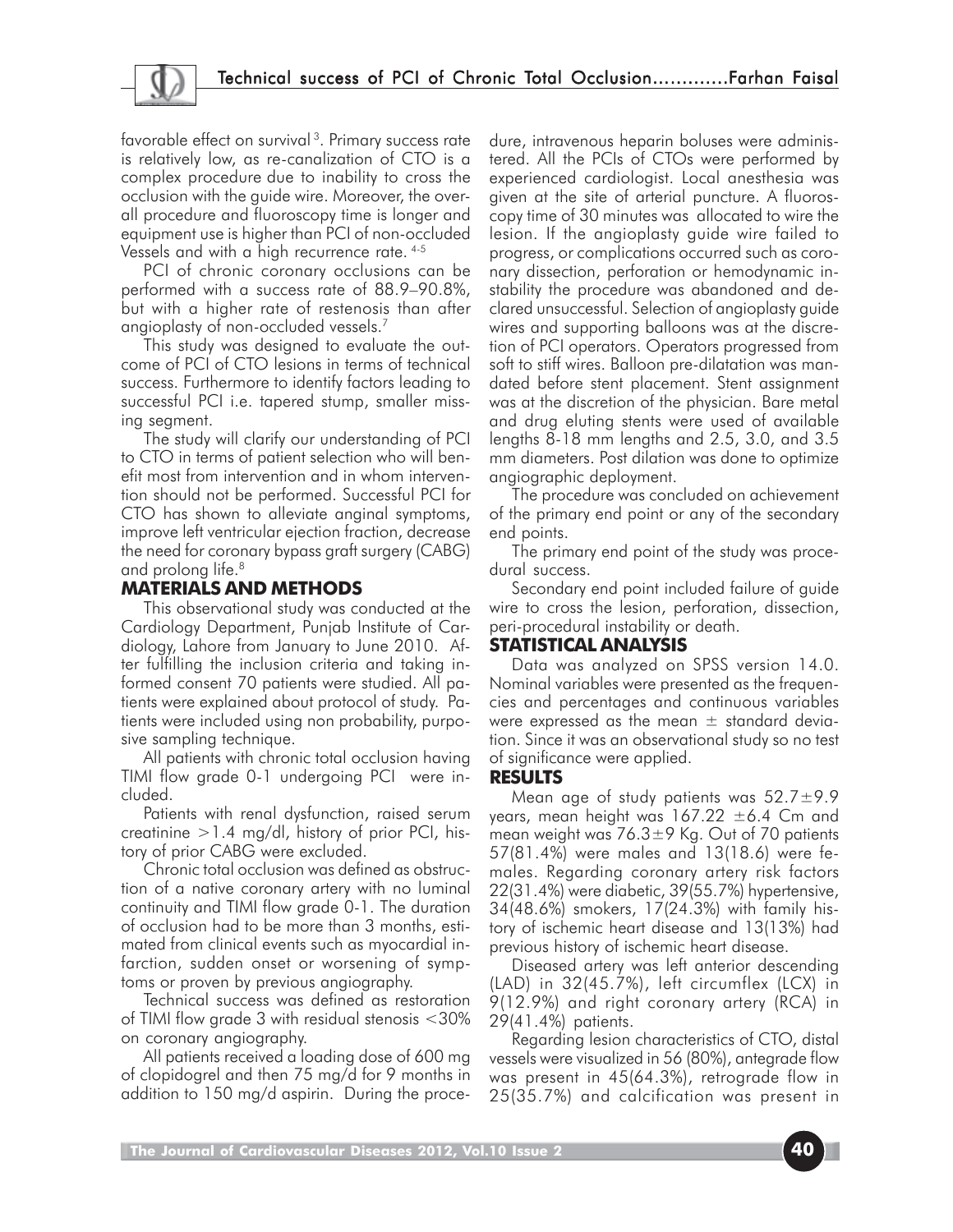favorable effect on survival<sup>3</sup>. Primary success rate is relatively low, as re-canalization of CTO is a complex procedure due to inability to cross the occlusion with the guide wire. Moreover, the overall procedure and fluoroscopy time is longer and equipment use is higher than PCI of non-occluded Vessels and with a high recurrence rate. 4-5

PCI of chronic coronary occlusions can be performed with a success rate of 88.9–90.8%, but with a higher rate of restenosis than after angioplasty of non-occluded vessels.7

This study was designed to evaluate the outcome of PCI of CTO lesions in terms of technical success. Furthermore to identify factors leading to successful PCI i.e. tapered stump, smaller missing segment.

The study will clarify our understanding of PCI to CTO in terms of patient selection who will benefit most from intervention and in whom intervention should not be performed. Successful PCI for CTO has shown to alleviate anginal symptoms, improve left ventricular ejection fraction, decrease the need for coronary bypass graft surgery (CABG) and prolong life.<sup>8</sup>

# **MATERIALS AND METHODS**

This observational study was conducted at the Cardiology Department, Punjab Institute of Cardiology, Lahore from January to June 2010. After fulfilling the inclusion criteria and taking informed consent 70 patients were studied. All patients were explained about protocol of study. Patients were included using non probability, purposive sampling technique.

All patients with chronic total occlusion having TIMI flow grade 0-1 undergoing PCI were included.

Patients with renal dysfunction, raised serum creatinine  $>1.4$  mg/dl, history of prior PCI, history of prior CABG were excluded.

Chronic total occlusion was defined as obstruction of a native coronary artery with no luminal continuity and TIMI flow grade 0-1. The duration of occlusion had to be more than 3 months, estimated from clinical events such as myocardial infarction, sudden onset or worsening of symptoms or proven by previous angiography.

Technical success was defined as restoration of TIMI flow grade 3 with residual stenosis <30% on coronary angiography.

All patients received a loading dose of 600 mg of clopidogrel and then 75 mg/d for 9 months in addition to 150 mg/d aspirin. During the procedure, intravenous heparin boluses were administered. All the PCIs of CTOs were performed by experienced cardiologist. Local anesthesia was given at the site of arterial puncture. A fluoroscopy time of 30 minutes was allocated to wire the lesion. If the angioplasty guide wire failed to progress, or complications occurred such as coronary dissection, perforation or hemodynamic instability the procedure was abandoned and declared unsuccessful. Selection of angioplasty guide wires and supporting balloons was at the discretion of PCI operators. Operators progressed from soft to stiff wires. Balloon pre-dilatation was mandated before stent placement. Stent assignment was at the discretion of the physician. Bare metal and drug eluting stents were used of available lengths 8-18 mm lengths and 2.5, 3.0, and 3.5 mm diameters. Post dilation was done to optimize angiographic deployment.

The procedure was concluded on achievement of the primary end point or any of the secondary end points.

The primary end point of the study was procedural success.

Secondary end point included failure of guide wire to cross the lesion, perforation, dissection, peri-procedural instability or death.

# **STATISTICAL ANALYSIS**

Data was analyzed on SPSS version 14.0. Nominal variables were presented as the frequencies and percentages and continuous variables were expressed as the mean  $\pm$  standard deviation. Since it was an observational study so no test of significance were applied.

## **RESULTS**

Mean age of study patients was  $52.7 \pm 9.9$ years, mean height was  $167.22 \pm 6.4$  Cm and mean weight was  $76.3 \pm 9$  Kg. Out of 70 patients 57(81.4%) were males and 13(18.6) were females. Regarding coronary artery risk factors 22(31.4%) were diabetic, 39(55.7%) hypertensive, 34(48.6%) smokers, 17(24.3%) with family history of ischemic heart disease and 13(13%) had previous history of ischemic heart disease.

Diseased artery was left anterior descending (LAD) in 32(45.7%), left circumflex (LCX) in 9(12.9%) and right coronary artery (RCA) in 29(41.4%) patients.

Regarding lesion characteristics of CTO, distal vessels were visualized in 56 (80%), antegrade flow was present in 45(64.3%), retrograde flow in 25(35.7%) and calcification was present in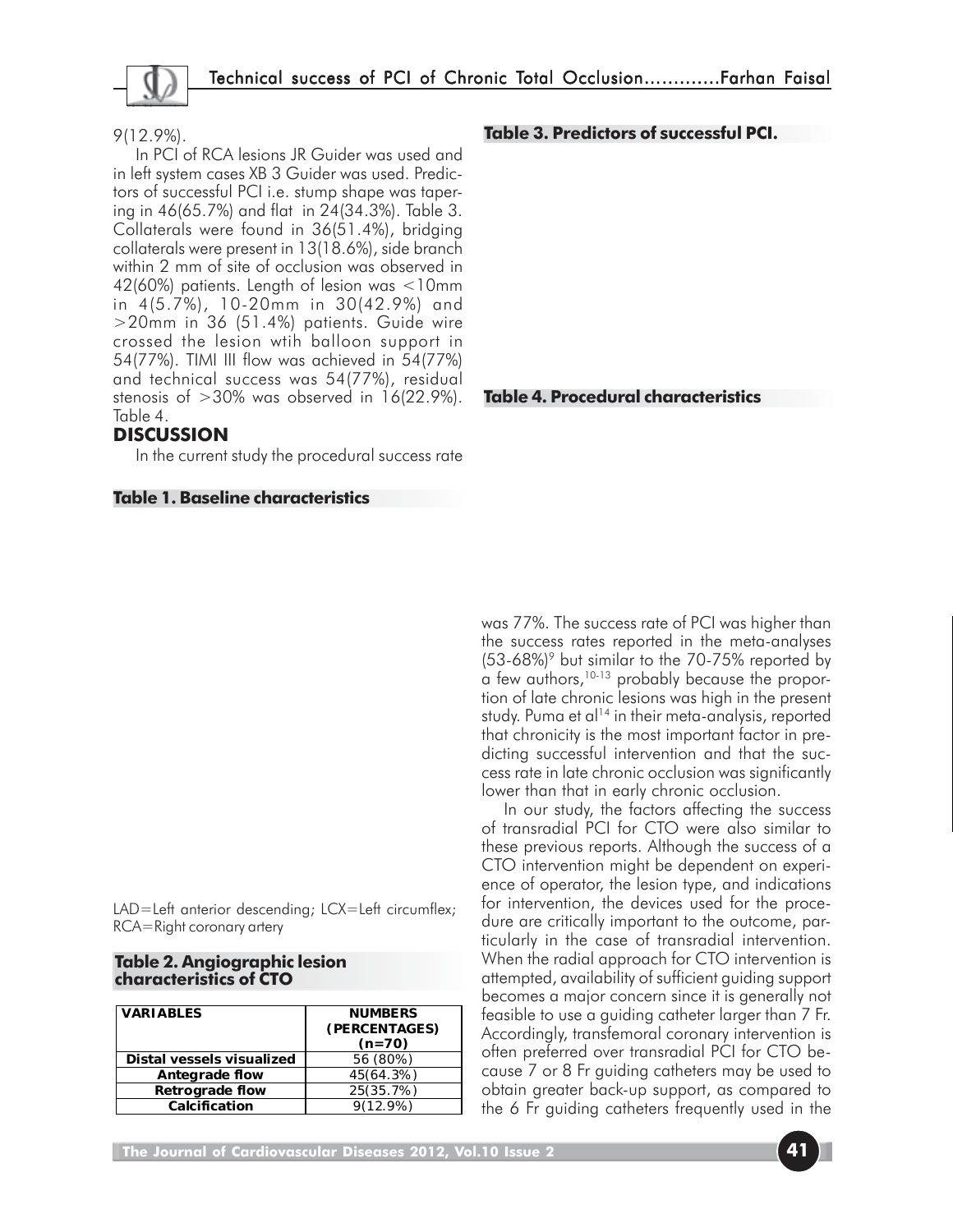

#### 9(12.9%).

In PCI of RCA lesions JR Guider was used and in left system cases XB 3 Guider was used. Predictors of successful PCI i.e. stump shape was tapering in 46(65.7%) and flat in 24(34.3%). Table 3. Collaterals were found in 36(51.4%), bridging collaterals were present in 13(18.6%), side branch within 2 mm of site of occlusion was observed in 42(60%) patients. Length of lesion was <10mm in 4(5.7%), 10-20mm in 30(42.9%) and >20mm in 36 (51.4%) patients. Guide wire crossed the lesion wtih balloon support in 54(77%). TIMI III flow was achieved in 54(77%) and technical success was 54(77%), residual stenosis of  $>30\%$  was observed in 16(22.9%). Table 4.

## **DISCUSSION**

In the current study the procedural success rate

#### **Table 1. Baseline characteristics**

LAD=Left anterior descending; LCX=Left circumflex; RCA=Right coronary artery

| Table 2. Angiographic lesion |  |  |
|------------------------------|--|--|
| characteristics of CTO       |  |  |

| <b>VARIABLES</b>          | <b>NUMBERS</b><br>(PERCENTAGES)<br>$(n=70)$ |  |
|---------------------------|---------------------------------------------|--|
| Distal vessels visualized | 56 (80%)                                    |  |
| Antegrade flow            | 45(64.3%)                                   |  |
| Retrograde flow           | 25(35.7%)                                   |  |
| Calcification             | $9(12.9\%)$                                 |  |

#### **Table 3. Predictors of successful PCI.**

#### **Table 4. Procedural characteristics**

was 77%. The success rate of PCI was higher than the success rates reported in the meta-analyses (53-68%)<sup>9</sup> but similar to the 70-75% reported by a few authors,<sup>10-13</sup> probably because the proportion of late chronic lesions was high in the present study. Puma et al<sup>14</sup> in their meta-analysis, reported that chronicity is the most important factor in predicting successful intervention and that the success rate in late chronic occlusion was significantly lower than that in early chronic occlusion.

In our study, the factors affecting the success of transradial PCI for CTO were also similar to these previous reports. Although the success of a CTO intervention might be dependent on experience of operator, the lesion type, and indications for intervention, the devices used for the procedure are critically important to the outcome, particularly in the case of transradial intervention. When the radial approach for CTO intervention is attempted, availability of sufficient guiding support becomes a major concern since it is generally not feasible to use a guiding catheter larger than 7 Fr. Accordingly, transfemoral coronary intervention is often preferred over transradial PCI for CTO because 7 or 8 Fr guiding catheters may be used to obtain greater back-up support, as compared to the 6 Fr guiding catheters frequently used in the

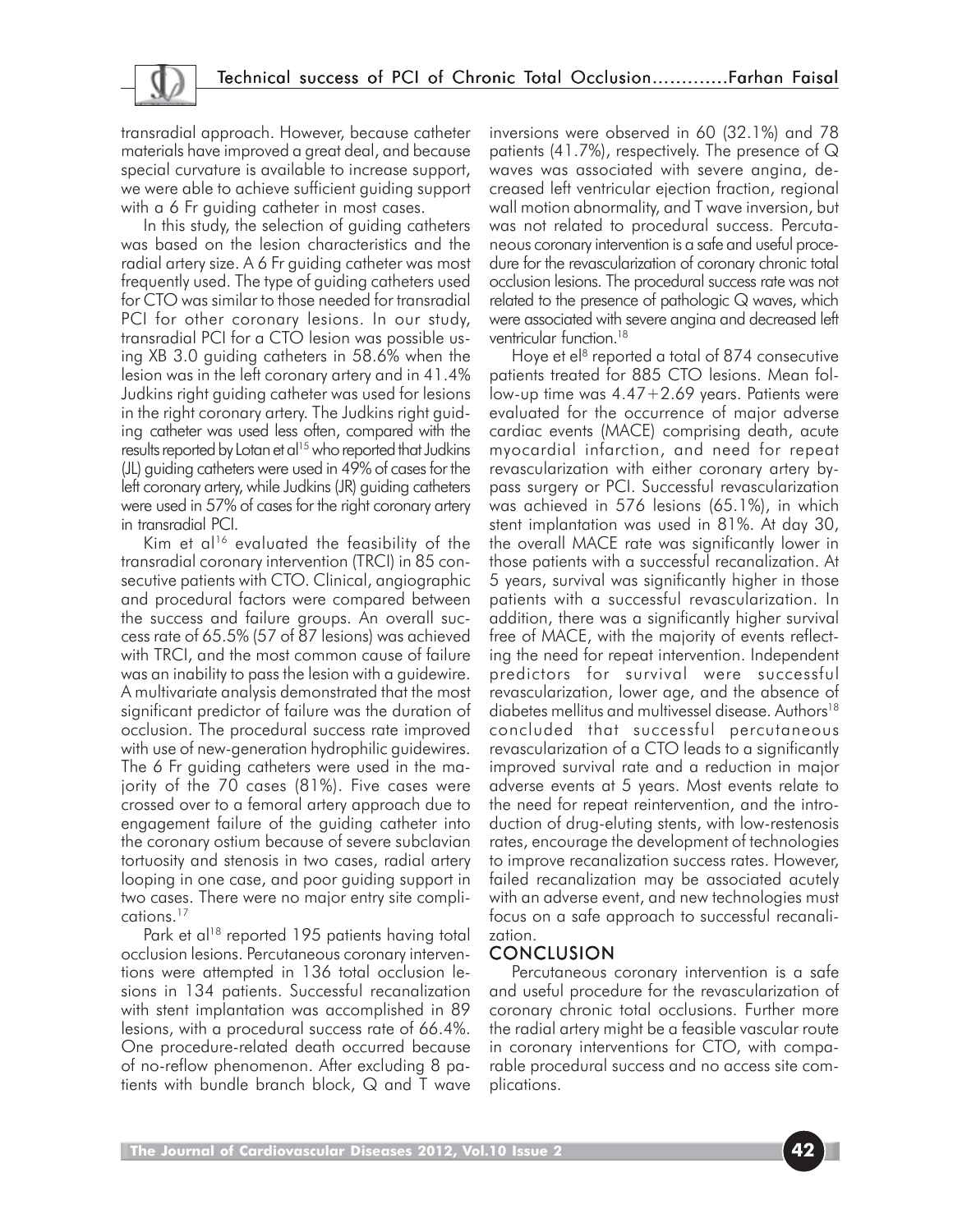transradial approach. However, because catheter materials have improved a great deal, and because special curvature is available to increase support, we were able to achieve sufficient guiding support with a 6 Fr quiding catheter in most cases.

In this study, the selection of guiding catheters was based on the lesion characteristics and the radial artery size. A 6 Fr guiding catheter was most frequently used. The type of guiding catheters used for CTO was similar to those needed for transradial PCI for other coronary lesions. In our study, transradial PCI for a CTO lesion was possible using XB 3.0 guiding catheters in 58.6% when the lesion was in the left coronary artery and in 41.4% Judkins right guiding catheter was used for lesions in the right coronary artery. The Judkins right guiding catheter was used less often, compared with the results reported by Lotan et al<sup>15</sup> who reported that Judkins (JL) guiding catheters were used in 49% of cases for the left coronary artery, while Judkins (JR) guiding catheters were used in 57% of cases for the right coronary artery in transradial PCI.

Kim et al<sup>16</sup> evaluated the feasibility of the transradial coronary intervention (TRCI) in 85 consecutive patients with CTO. Clinical, angiographic and procedural factors were compared between the success and failure groups. An overall success rate of 65.5% (57 of 87 lesions) was achieved with TRCI, and the most common cause of failure was an inability to pass the lesion with a guidewire. A multivariate analysis demonstrated that the most significant predictor of failure was the duration of occlusion. The procedural success rate improved with use of new-generation hydrophilic guidewires. The 6 Fr guiding catheters were used in the majority of the 70 cases (81%). Five cases were crossed over to a femoral artery approach due to engagement failure of the guiding catheter into the coronary ostium because of severe subclavian tortuosity and stenosis in two cases, radial artery looping in one case, and poor guiding support in two cases. There were no major entry site complications.17

Park et al<sup>18</sup> reported 195 patients having total occlusion lesions. Percutaneous coronary interventions were attempted in 136 total occlusion lesions in 134 patients. Successful recanalization with stent implantation was accomplished in 89 lesions, with a procedural success rate of 66.4%. One procedure-related death occurred because of no-reflow phenomenon. After excluding 8 patients with bundle branch block, Q and T wave inversions were observed in 60 (32.1%) and 78 patients (41.7%), respectively. The presence of Q waves was associated with severe angina, decreased left ventricular ejection fraction, regional wall motion abnormality, and T wave inversion, but was not related to procedural success. Percutaneous coronary intervention is a safe and useful procedure for the revascularization of coronary chronic total occlusion lesions. The procedural success rate was not related to the presence of pathologic Q waves, which were associated with severe angina and decreased left ventricular function.<sup>18</sup>

Hoye et el $8$  reported a total of 874 consecutive patients treated for 885 CTO lesions. Mean follow-up time was 4.47+2.69 years. Patients were evaluated for the occurrence of major adverse cardiac events (MACE) comprising death, acute myocardial infarction, and need for repeat revascularization with either coronary artery bypass surgery or PCI. Successful revascularization was achieved in 576 lesions (65.1%), in which stent implantation was used in 81%. At day 30, the overall MACE rate was significantly lower in those patients with a successful recanalization. At 5 years, survival was significantly higher in those patients with a successful revascularization. In addition, there was a significantly higher survival free of MACE, with the majority of events reflecting the need for repeat intervention. Independent predictors for survival were successful revascularization, lower age, and the absence of diabetes mellitus and multivessel disease. Authors<sup>18</sup> concluded that successful percutaneous revascularization of a CTO leads to a significantly improved survival rate and a reduction in major adverse events at 5 years. Most events relate to the need for repeat reintervention, and the introduction of drug-eluting stents, with low-restenosis rates, encourage the development of technologies to improve recanalization success rates. However, failed recanalization may be associated acutely with an adverse event, and new technologies must focus on a safe approach to successful recanalization.

## CONCLUSION

Percutaneous coronary intervention is a safe and useful procedure for the revascularization of coronary chronic total occlusions. Further more the radial artery might be a feasible vascular route in coronary interventions for CTO, with comparable procedural success and no access site complications.